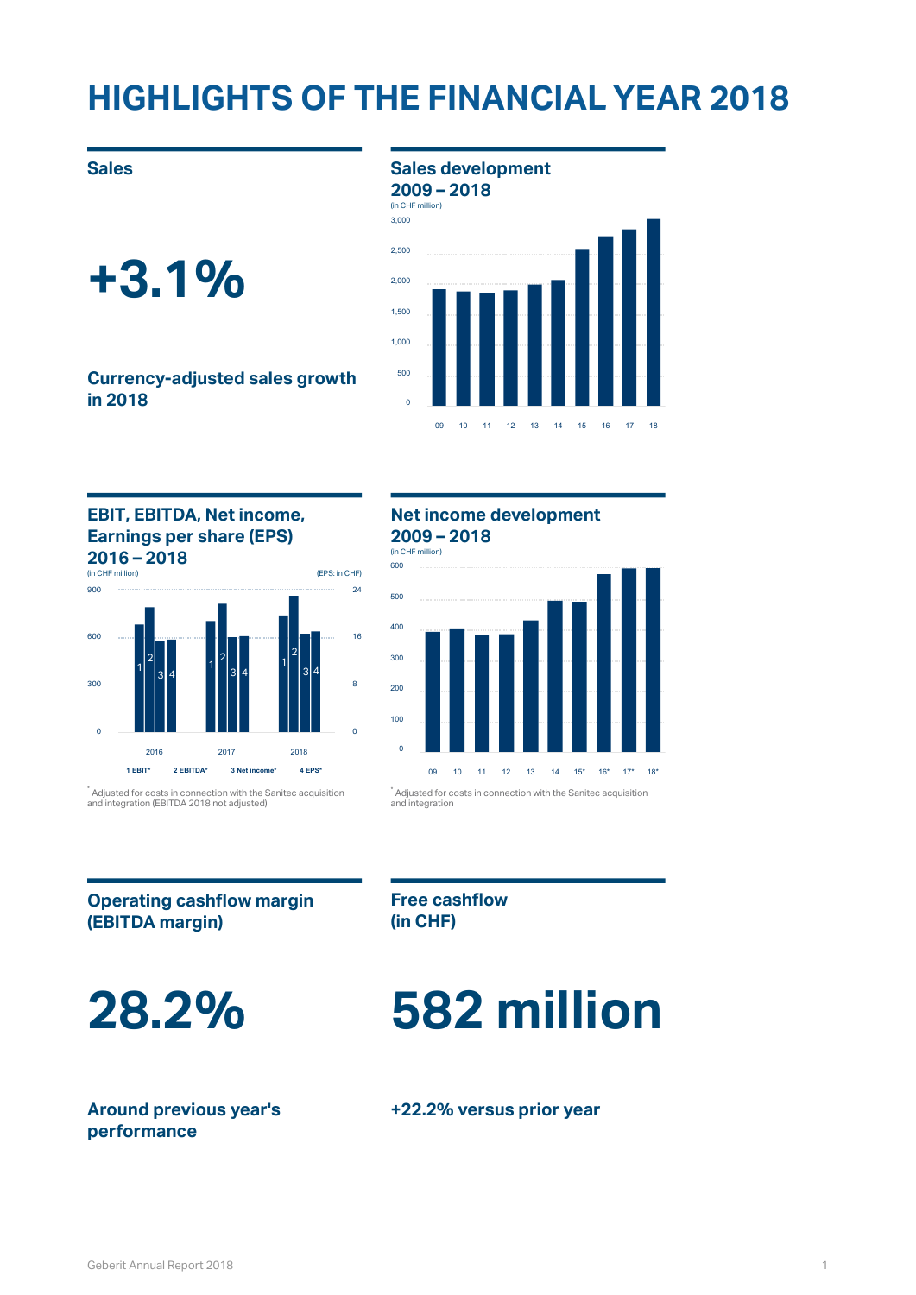### **HIGHLIGHTS OF THE FINANCIAL YEAR 2018**

### **Currency-adjusted sales growth in 2018**

### **Sales** development **Sales 2009 – 2018**





### **EBIT, EBITDA, Net income, Earnings per share (EPS) 2016 – 2018** (in CHF million)



 $\degree$  Adjusted for costs in connection with the Sanitec acquisition  $\degree$  Adju and integration (EBITDA 2018 not adjusted)

### **Net income development 2009 – 2018**

(in CHF million)



 $\degree$  Adjusted for costs in connection with the Sanitec acquisition and integration

### **Operating cashflow margin (EBITDA margin)**

**Free cashflow (in CHF)**

# **28.2% 582 million**

### **Around previous year's performance**

### **+22.2% versus prior year**